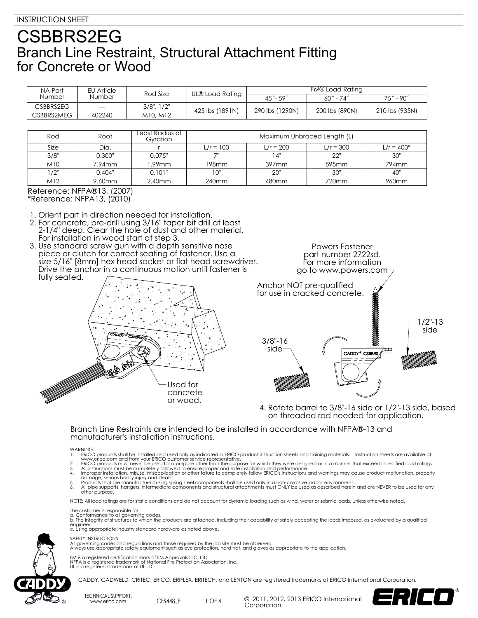| NA Part<br><b>Number</b> | EU Article<br><b>Number</b> | Rod Size         | UL® Load Rating | FM® Load Rating       |                          |                              |
|--------------------------|-----------------------------|------------------|-----------------|-----------------------|--------------------------|------------------------------|
|                          |                             |                  |                 | $45^\circ - 59^\circ$ | $60^\circ$ - 74 $^\circ$ | $75^{\circ}$ - 90 $^{\circ}$ |
| CSBBRS2EG                | $---$                       | $3/8$ ", $1/2$ " | 425 lbs (1891N) |                       |                          |                              |
| CSBBRS2MEG               | 402240                      | M10, M12         |                 | 290 lbs (1290N)       | 200 lbs (890N)           | 210 lbs (935N)               |

| Rod     | Root      | Least Radius of<br>Gyration | Maximum Unbraced Length (L) |                   |             |                   |  |
|---------|-----------|-----------------------------|-----------------------------|-------------------|-------------|-------------------|--|
| Size    | Dia.      |                             | $L/r = 100$                 | $L/r = 200$       | $L/r = 300$ | $L/r = 400*$      |  |
| 3/8"    | 0.300"    | 0.075"                      | 711                         | 14"               | 22"         | 30"               |  |
| M10     | $7.94$ mm | l.99mm                      | 198mm                       | 397 <sub>mm</sub> | 595mm       | 794mm             |  |
| $1/2$ " | 0.404"    | 0.101"                      | "0 ו                        | 20"               | 30"         | 40"               |  |
| M12     | 9.60mm    | 2.40 <sub>mm</sub>          | 240 <sub>mm</sub>           | 480 <sub>mm</sub> | 720mm       | 960 <sub>mm</sub> |  |

Reference: NFPA®13, (2007) \*Reference: NFPA13, (2010)

1. Orient part in direction needed for installation.

- 2. For concrete, pre-drill using 3/16" taper bit drill at least 2-1/4" deep. Clear the hole of dust and other material. For installation in wood start at step 3.
- 3. Use standard screw gun with a depth sensitive nose piece or clutch for correct seating of fastener. Use a size 5/16" [8mm] hex head socket or flat head screwdriver. Drive the anchor in a continuous motion until fastener is fully seated.



Powers Fastener part number 2722sd. For more information go to www.powers.com



4. Rotate barrel to 3/8"-16 side or 1/2"-13 side, based on threaded rod needed for application.

### Branch Line Restraints are intended to be installed in accordance with NFPA®-13 and manufacturer's installation instructions.

- 
- 
- 
- WARNING.<br>
I. ERICO products shall be installed and used only as indicated in ERICO product instruction sheets and training materials. Instruction sheets are available at<br>
1. www.erico.com and from your ERICO customer servi

NOTE: All load ratings are for static conditions and do not account for dynamic loading such as wind, water or seismic loads, unless otherwise noted.

The customer is responsible for:<br>a. Conformance to all governing codes.<br>b. The integrity of structures to which the products are attached, including their capability of safely accepting the loads imposed, as evaluated by a engineer. c. Using appropriate industry standard hardware as noted above.

### SAFETY INSTRUCTIONS:

All governing codes and regulations and those required by the job site must be observed. Always use appropriate safety equipment such as eye protection, hard hat, and gloves as appropriate to the application.

FM is a registered certification mark of FM Approvals LLC, LTD NFPA is a registered trademark of National Fire Protection Association, Inc. UL is a registered trademark of UL LLC

CADDY, CADWELD, CRITEC, ERICO, ERIFLEX, ERITECH, and LENTON are registered trademarks of ERICO International Corporation.

TECHNICAL SUPPORT: www.erico.com CFS448 E

1 OF 4 <sup>©</sup> 2011, 2012, 2013 ERICO International Corporation.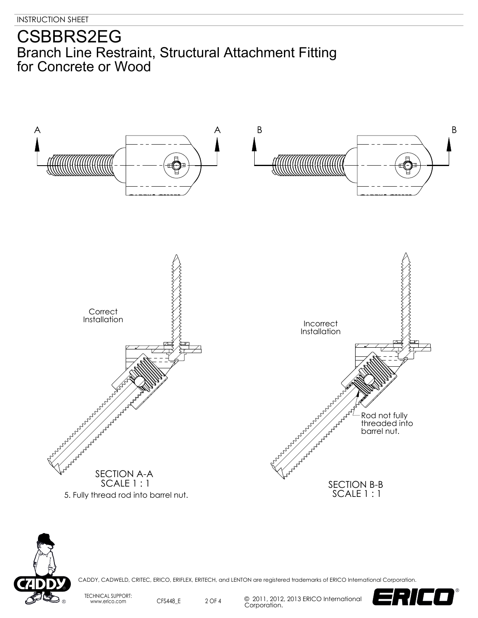



CADDY, CADWELD, CRITEC, ERICO, ERIFLEX, ERITECH, and LENTON are registered trademarks of ERICO International Corporation.

TECHNICAL SUPPORT: www.erico.com CFS448\_E

2 OF 4 © 2011, 2012, 2013 ERICO International Corporation.

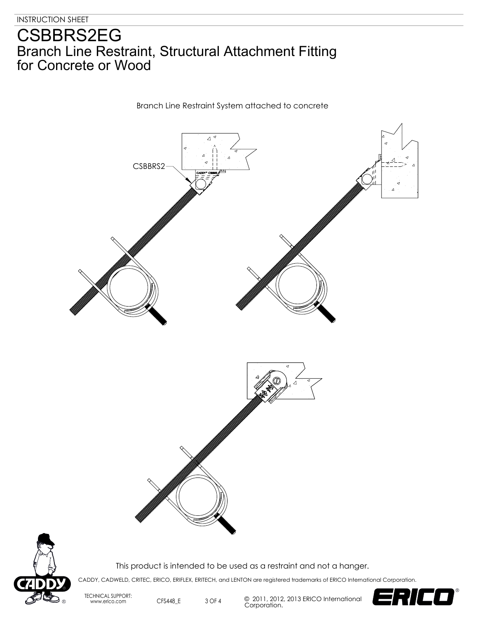

Branch Line Restraint System attached to concrete



This product is intended to be used as a restraint and not a hanger.

CADDY, CADWELD, CRITEC, ERICO, ERIFLEX, ERITECH, and LENTON are registered trademarks of ERICO International Corporation.

TECHNICAL SUPPORT: www.erico.com CFS448\_E

3 OF 4 © 2011, 2012, 2013 ERICO International Corporation.